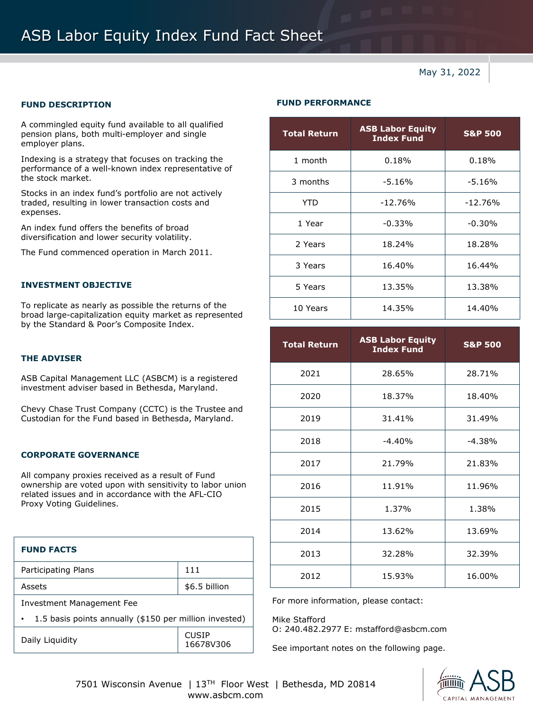# ASB Labor Equity Index Fund Fact Sheet

May 31, 2022

A commingled equity fund available to all qualified pension plans, both multi-employer and single employer plans.

Indexing is a strategy that focuses on tracking the performance of a well-known index representative of the stock market.

Stocks in an index fund's portfolio are not actively traded, resulting in lower transaction costs and expenses.

An index fund offers the benefits of broad diversification and lower security volatility.

The Fund commenced operation in March 2011.

#### **INVESTMENT OBJECTIVE**

To replicate as nearly as possible the returns of the broad large-capitalization equity market as represented by the Standard & Poor's Composite Index.

#### **THE ADVISER**

ASB Capital Management LLC (ASBCM) is a registered investment adviser based in Bethesda, Maryland.

Chevy Chase Trust Company (CCTC) is the Trustee and Custodian for the Fund based in Bethesda, Maryland.

### **CORPORATE GOVERNANCE**

All company proxies received as a result of Fund ownership are voted upon with sensitivity to labor union related issues and in accordance with the AFL-CIO Proxy Voting Guidelines.

| <b>FUND FACTS</b>                                      |                           |  |
|--------------------------------------------------------|---------------------------|--|
| Participating Plans                                    | 111                       |  |
| Assets                                                 | \$6.5 billion             |  |
| Investment Management Fee                              |                           |  |
| 1.5 basis points annually (\$150 per million invested) |                           |  |
| Daily Liquidity                                        | <b>CUSIP</b><br>16678V306 |  |

## **FUND DESCRIPTION FUND PERFORMANCE**

| <b>Total Return</b> | <b>ASB Labor Equity</b><br><b>Index Fund</b> | <b>S&amp;P 500</b> |
|---------------------|----------------------------------------------|--------------------|
| 1 month             | 0.18%                                        | 0.18%              |
| 3 months            | $-5.16%$                                     | $-5.16%$           |
| <b>YTD</b>          | $-12.76%$                                    | $-12.76%$          |
| 1 Year              | $-0.33%$                                     | $-0.30%$           |
| 2 Years             | 18.24%                                       | 18.28%             |
| 3 Years             | 16.40%                                       | 16.44%             |
| 5 Years             | 13.35%                                       | 13.38%             |
| 10 Years            | 14.35%                                       | 14.40%             |

| <b>Total Return</b> | <b>ASB Labor Equity</b><br><b>Index Fund</b> | <b>S&amp;P 500</b> |
|---------------------|----------------------------------------------|--------------------|
| 2021                | 28.65%                                       | 28.71%             |
| 2020                | 18.37%                                       | 18.40%             |
| 2019                | 31.41%                                       | 31.49%             |
| 2018                | $-4.40%$                                     | $-4.38%$           |
| 2017                | 21.79%                                       | 21.83%             |
| 2016                | 11.91%                                       | 11.96%             |
| 2015                | 1.37%                                        | 1.38%              |
| 2014                | 13.62%                                       | 13.69%             |
| 2013                | 32.28%                                       | 32.39%             |
| 2012                | 15.93%                                       | 16.00%             |

For more information, please contact:

Mike Stafford O: 240.482.2977 E: mstafford@asbcm.com

See important notes on the following page.